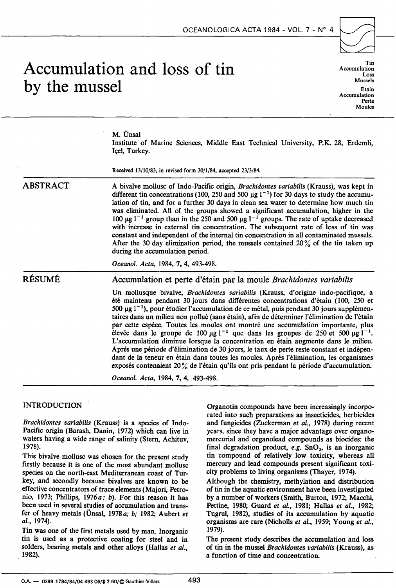# **Accumulation and loss of tin by the mussel**

|                 | M. Ünsal<br>Institute of Marine Sciences, Middle East Technical University, P.K. 28, Erdemli,<br>Içel, Turkey.<br>Received 13/10/83, in revised form 30/1/84, accepted 23/3/84.                                                                                                                                                                                                                                                                                                                                                                                                                                                                                                                                                                                                                                                                                                                                                                     |
|-----------------|-----------------------------------------------------------------------------------------------------------------------------------------------------------------------------------------------------------------------------------------------------------------------------------------------------------------------------------------------------------------------------------------------------------------------------------------------------------------------------------------------------------------------------------------------------------------------------------------------------------------------------------------------------------------------------------------------------------------------------------------------------------------------------------------------------------------------------------------------------------------------------------------------------------------------------------------------------|
| <b>ABSTRACT</b> | A bivalve mollusc of Indo-Pacific origin, Brachidontes variabilis (Krauss), was kept in<br>different tin concentrations (100, 250 and 500 $\mu$ g l <sup>-1</sup> ) for 30 days to study the accumu-<br>lation of tin, and for a further 30 days in clean sea water to determine how much tin<br>was eliminated. All of the groups showed a significant accumulation, higher in the<br>100 µg $1^{-1}$ group than in the 250 and 500 µg $1^{-1}$ groups. The rate of uptake decreased<br>with increase in external tin concentration. The subsequent rate of loss of tin was<br>constant and independent of the internal tin concentration in all contaminated mussels.<br>After the 30 day elimination period, the mussels contained 20% of the tin taken up<br>during the accumulation period.<br>Oceanol. Acta, 1984, 7, 4, 493-498.                                                                                                             |
| RÉSUMÉ          | Accumulation et perte d'étain par la moule Brachidontes variabilis                                                                                                                                                                                                                                                                                                                                                                                                                                                                                                                                                                                                                                                                                                                                                                                                                                                                                  |
|                 | Un mollusque bivalve, Brachidontes variabilis (Krauss, d'origine indo-pacifique, a<br>été maintenu pendant 30 jours dans différentes concentrations d'étain (100, 250 et<br>500 µg $1^{-1}$ ), pour étudier l'accumulation de ce métal, puis pendant 30 jours supplémen-<br>taires dans un milieu non pollué (sans étain), afin de déterminer l'élimination de l'étain<br>par cette espèce. Toutes les moules ont montré une accumulation importante, plus<br>élevée dans le groupe de 100 $\mu$ g l <sup>-1</sup> que dans les groupes de 250 et 500 $\mu$ g l <sup>-1</sup> .<br>L'accumulation diminue lorsque la concentration en étain augmente dans le milieu.<br>Après une période d'élimination de 30 jours, le taux de perte reste constant et indépen-<br>dant de la teneur en étain dans toutes les moules. Après l'élimination, les organismes<br>exposés contenaient 20% de l'étain qu'ils ont pris pendant la période d'accumulation. |
|                 | Oceanol. Acta, 1984, 7, 4, 493-498.                                                                                                                                                                                                                                                                                                                                                                                                                                                                                                                                                                                                                                                                                                                                                                                                                                                                                                                 |

## INTRODUCTION

*Brachidontes variabilis* (Krauss) is a species of Indo-Pacific origin (Barash, Danin, 1972) which can live in waters having a wide range of salinity (Stern, Achituv, 1978).

This bivalve mollusc was chosen for the present study firstly because it is one of the most abondant mollusc species on the north-east Mediterranean coast of Turkey, and secondly because bivalves are known to be effective concentrators of trace elements (Majori, Petronio, 1973; Phillips, 1976a; b). For this reason it has been used in several studies of accumulation and transfer of heavy metals (Ünsal, 1978 *a; b;* 1982; Aubert *et al.,* 1974).

Tin was one of the first metals used by man. Inorganic tin is used as a protective coating for steel and in solders, bearing metals and other alloys (Hallas *et al.,*  . 1982).

Organotin compounds have been increasingly incorporated into such preparations as insecticides, herbicides and fungicides (Zuckerman et al., 1978) during recent years, since they have a major advantage over organomercurial and organolead compounds as biocides: the final degradation product, e.g.  $SnO<sub>2</sub>$ , is an inorganic tin compound of relatively low toxicity, whereas ali mercury and lead compounds present significant toxicity problems to living organisms (Thayer, 1974).

Although the chemistry, methylation and distribution of tin in the aquatic environment have been investigated by a number of workers (Smith, Burton, 1972; Macchi, Pettine, 1980; Guard *et al.,* 1981; Hallas *et al.,* 1982; Tugrul, 1982), studies of its accumulation by aquatic organisms are rare (Nicholls *et al.,* 1959; Young *et al.,*  1979).

The present study describes the accumulation and loss of tin in the mussel *Brachidontes variabilis* (Krauss), as a function of time and concentration.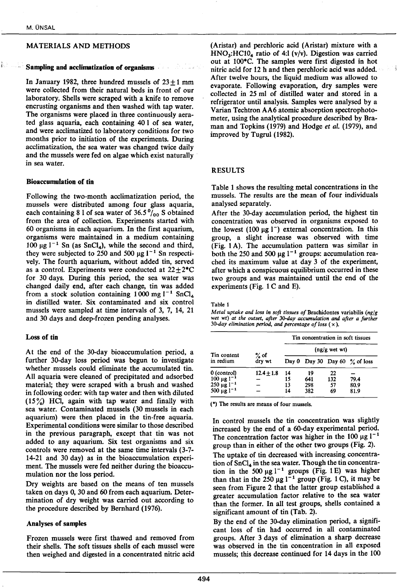## MA TERIALS AND METHODS

#### Sampling and acclimatization of organisms

In January 1982, three hundred mussels of  $23 + 1$  mm were collected from their natural beds in front of our laboratory. Shells were scraped with a knife to remove encrusting organisms and then washed with tap water. The organisms were placed in three continuously aerated glass aquaria, each containing 40 1 of sea water, and were acclimatized to laboratory conditions for two months prior to initiation of the experiments. During acclimatization, the sea water was changed twice daily and the mussels were fed on algae which exist naturally in sea water.

#### Bioaccumulation of tin

Following the two-month acclimatization period, the mussels were distributed among four glass aquaria, each containing 8 1 of sea water of  $36.5\frac{0}{00}$  S obtained from the area of collection. Experiments started with 60 organisms in each aquarium. In the first aquarium, organisms were maintained in a medium containing 100  $\mu$ g 1<sup>-1</sup> Sn (as SnCl<sub>4</sub>), while the second and third, they were subjected to 250 and 500  $\mu$ g 1<sup>-1</sup> Sn respectively. The fourth aquarium, without added tin, served as a control. Experiments were conducted at  $22 \pm 2*C$ for 30 days. During this period, the sea water was changed daily end, after each change, tin was added from a stock solution containing  $1000$  mg  $1^{-1}$  SnCl<sub>4</sub> in distilled water. Six contaminated and six control mussels were sampled at time intervals of 3, 7, 14, 21 and 30 days and deep-frozen pending analyses.

#### Loss of tin

At the end of the 30-day bioaccumulation period, a further 30-day loss period was begun to investigate whether mussels could eliminate the accumulated tin. AU aquaria were cleaned of precipitated and adsorbed material; they were scraped with a brush and washed in following order: with tap water and then with diluted  $(15\%)$  HCl, again with tap water and finally with sea water. Contaminated mussels (30 mussels in each aquarium) were then placed in the tin-free aquaria. Experimental conditions were similar to those described in the previous paragraph, except that tin was not added to any aquarium. Six test organisms and six controls were removed at the same time intervals (3-7-14-21 and 30 day) as in the bioaccumulation experiment. The mussels were fed neither during the bioaccumulation nor the loss period.

Dry weights are based on the means of ten mussels taken on days 0, 30 and 60 from each aquarium. Determination of dry weight was carried out according to the procedure described by Bernhard (1976).

#### Analyses of samples

Frozen mussels were first thawed and removed from their shells. The soft tissues shells of each musset were then weighed and digested in a concentrated nitric acid

(Aristar) and perchloric acid (Aristar) mixture with a  $HNO<sub>3</sub>:HClO<sub>4</sub>$  ratio of 4:1 (v/v). Digestion was carried out at 100\*C. The samples were first digested in hot nitric acid for 12 h and then perchloric acid was added. After twelve hours, the liquid medium was allowed to evaporate. Following evaporation, dry samples were collected in 25 ml of distilled water and stored in a refrigerator until analysis. Samples were analysed by a Varian Techtron AA6 atomic absorption spectrophotometer, using the analytical procedure described by Braman and Topkins (1979) and Hodge *et al.* (1979), and improved by Tugrul (1982).

## RESULTS

Table 1 shows the resulting metal concentrations in the mussels. The results are the mean of four individuals analysed separately.

After the 30-day accumulation period, the highest tin concentration was observed in organisms exposed to the lowest (100  $\mu$ g l<sup>-</sup>) external concentration. In this group, a slight increase was observed with time (Fig. 1 A). The accumulation pattern was similar in both the 250 and 500  $\mu$ g 1<sup>-1</sup> groups: accumulation reached its maximum value at day 3 of the experiment, after which a conspicuous equilibrium occurred in these two groups and was maintained until the end of the experiments (Fig. 1 C and E).

Table 1

*Metal uptake and loss in soft tissues of Brachidontes variabilis (ng/g* wet wt) at the outset, after 30-day accumulation and after a further *30-day elimination period, and percentage of loss* ( x ).

|                                                                                                          |                |                 |     |     | Tin concentration in soft tissues |
|----------------------------------------------------------------------------------------------------------|----------------|-----------------|-----|-----|-----------------------------------|
| Tin content                                                                                              |                | $(ng/g$ wet wt) |     |     |                                   |
| in redium                                                                                                | % of<br>dry wt |                 |     |     | Day 0 Day 30 Day 60 $\%$ of loss  |
|                                                                                                          | $12.4 \pm 1.8$ | 14              | 19  | 22  |                                   |
|                                                                                                          |                | 15              | 641 | 132 | 79.4                              |
|                                                                                                          |                | 13              | 298 | 57  | 80.9                              |
| 0 (control)<br>100 $\mu$ g 1 <sup>-1</sup><br>250 $\mu$ g 1 <sup>-1</sup><br>500 $\mu$ g 1 <sup>-1</sup> |                | 14              | 382 | 69  | 81.9                              |

(\*) The results are means of four mussels.

In control mussels the tin concentration was slightly increased by the end of a 60-day experimental period. The concentration factor was higher in the 100  $\mu$ g l<sup>-1</sup> group than in either of the other two groups (Fig. 2).

The uptake of tin decreased with increasing concentration of  $SnCl<sub>4</sub>$  in the sea water. Though the tin concentration in the 500  $\mu$ g l<sup>-1</sup> groups (Fig. 1 E) was higher than that in the 250  $\mu$ g 1<sup>-1</sup> group (Fig. 1 C), it may be seen from Figure 2 that the latter group established a greater accumulation factor relative to the sea water than the former. In ail test groups, shells contained a significant amount of tin (Tab. 2).

By the end of the 30-day elimination period, a significant Joss of tin had occurred in ali contaminated groups. After 3 days of elimination a sharp decrease was observed in the tin concentration in ali exposed mussels; this decrease continued for 14 days in the 100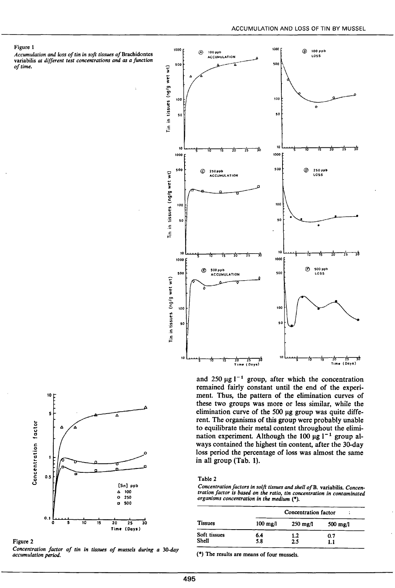#### Figure 1

Accumulation and loss of tin in soft tissues of Brachidontes variabilis at different test concentrations and as a function of time.





Figure 2 Concentration factor of tin in tissues of mussels during a 30-day accumulation period.

and 250  $\mu$ g l<sup>-1</sup> group, after which the concentration remained fairly constant until the end of the experiment. Thus, the pattern of the elimination curves of these two groups was more or less similar, while the elimination curve of the 500 µg group was quite different. The organisms of this group were probably unable to equilibrate their metal content throughout the elimination experiment. Although the 100  $\mu$ g l<sup>-1</sup> group always contained the highest tin content, after the 30-day loss period the percentage of loss was almost the same in all group (Tab. 1).

#### Table 2

Concentration factors in solft tissues and shell of B. variabilis. Concentration factor is based on the ratio, tin concentration in contaminated organisms concentration in the medium  $(*)$ .

|                | Concentration factor |                    |                    |  |
|----------------|----------------------|--------------------|--------------------|--|
| <b>Tissues</b> | $100 \text{ mg/l}$   | $250 \text{ mg}/1$ | $500 \text{ mg}/1$ |  |
| Soft tissues   | 6.4                  | 1.2                | 0.7                |  |
| Shell          | 5.8                  | 2.5                | 1.1                |  |

(\*) The results are means of four mussels.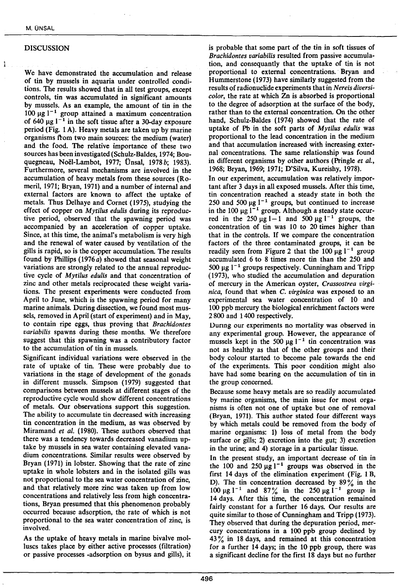ł

#### DISCUSSION

We have demonstrated the accumulation and release of tin by mussels in aquaria under controlled conditions. The results showed that in ail test groups, except controls, tin was accumulated in significant amounts by mussels. As an example, the amount of tin in the 100  $\mu$ g 1<sup>-1</sup> group attained a maximum concentration of  $640 \mu g$  l<sup>-1</sup> in the soft tissue after a 30-day exposure period (Fig. 1 A). Heavy metals are taken up by marine organisms from two main sources: the medium (water) and the food. The relative importance of these two sources bas beeninvestigated(Schulz-Baldes, 1974; Bouquegneau, Noël-Lambot, 1977; Ünsal, 1978 b; 1983). Furthermore, several mechanisms are involved in the accumulation of heavy metals from these sources (Romeril, 1971; Bryan, 1971) and a number of internai and externat factors are known to affect the uptake of metals. Thus Delhaye and Cornet (1975), studying the effect of copper on *Mytilus edulis* during its reproductive period, observed that the spawning period was accompanied by an acceleration of copper uptake. Since, at this time, the animal's metabolism is very high and the renewal of water caused by ventilation of the gills is rapid, so is the copper accumulation. The results found by Phillips  $(1976a)$  showed that seasonal weight variations are strongly related to the annual reproductive cycle of *Mytilus edulis* and that concentration of zinc and other metals reciprocated these weight variations. The present experiments were conducted from April to June, which is the spawning period for many marine animals. During dissection, we found most mussels, removed in April (start of experiment) and in May, to contain ripe eggs, thus proving that *Brachidontes variabilis* spawns during these months. We therefore suggest that this spawning was a contributory factor to the accumulation of tin in mussels.

Significant individual variations were observed in the rate of uptake of tin. These were probably due to variations in the stage of development of the gonads in different mussels. Simpson (1979) suggested that comparisons between mussels at different stages of the reproductive cycle would show different concentrations of metals. Our observations support this suggestion. The ability to accumulate tin decreased with increasing tin concentration in the medium, as was observed by Miramand *et al.* (1980). These authors observed that there was a tendency towards decreased vanadium uptake by mussels in sea water containing elevated vanadium concentrations. Similar results were observed by Bryan (1971) in lobster. Showing that the rate of zinc uptake in whole lobsters and in the isolated gills was not proportional to the sea water concentration of zinc, and that relatively more zinc was taken up from low concentrations and relatively less from high concentrations, Bryan presumed that this phenomenon probably occurred because adsorption, the rate of which is not proportional to the sea water concentration of zinc, is involved.

As the uptake of heavy metals in marine bivalve molluscs takes place by either active processes (filtration) or passive processes -adsorption on bysus and gills), it is probable that some part of the tin in soft tissues of *Brachidontes variabilis* resulted from passive accumulation, and consequantly that the uptake of tin is not proportional to external concentrations. Bryan and Hummerstone (1973) have similarly suggested from the results of radionuclide experiments that in *Nereis diversicolor,* the rate at which Zn is absorbed is proportional to the degree of adsorption at the surface of the body, rather than to the external concentration. On the other band, Schulz-Baldes (1974) showed that the rate of uptake of Pb in the soft parts of *Mytilus edulis* was proportional to the lead concentration in the medium and that accumulation increased with increasing externat concentrations. The same relationship was found in different organisms by other authors (Pringle *et al.,*  1968; Bryan, 1969; 1971; D'Silva, Kureishy, 1978).

In our experiment, accumulation was relatively important after 3 days in ali exposed mussels. After this time, tin concentration reached a steady state in both the 250 and 500  $\mu$ g 1<sup>-1</sup> groups, but continued to increase in the 100  $\mu$ g 1<sup>-1</sup> group. Although a steady state occurred in the 250  $\mu$ g 1-1 and 500  $\mu$ g 1<sup>-1</sup> groups, the concentration of tin was 10 to 20 times higher than that in the controls. If we compare the concentration factors of the three contaminated groups, it can be readily seen from Figure 2 that the 100  $\mu$ g l<sup>-1</sup> group accumulated 6 to 8 times more tin than the 250 and 500  $\mu$ g 1<sup>-1</sup> groups respectively. Cunningham and Tripp ( 1973), who studied the accumulation and depuration of mercury in the American oyster, *Crassostrea virginica,* found that when C. *virginica* was exposed to an experimental sea water concentration of 10 and 100 ppb mercury the biological enrichment factors were 2 800 and 1400 respectively.

Dunng our experiments no mortality was observed in any experimental group. However, the appearance of mussels kept in the 500  $\mu$ g 1<sup>-1</sup> tin concentration was not as healthy as that of the other groups and their body colour started to become pale towards the end of the experiments. This poor condition might also have had some bearing on the accumulation of tin in the group concerned.

Because sorne heavy metals are so readily accumulated by marine organisms, the main issue for most organisms is often not one of uptake but one of removal (Bryan, 1971). This author stated four different ways by which metals could be removed from the body of marine organisms: 1) loss of metal from the body surface or gills; 2) excretion into the gut; 3) excretion in the urine; and 4) storage in a particular tissue.

In the present study, an important decrease of tin in the 100 and 250  $\mu$ g l<sup>-1</sup> groups was observed in the first 14 days of the elimination experiment (Fig. 1 B, D). The tin concentration decreased by  $89\%$  in the 100  $\mu$ g 1<sup>-1</sup> and 87% in the 250  $\mu$ g 1<sup>-1</sup> group in 14 days. After this time, the concentration remained fairly constant for a further 16 days. Our results are quite similar to those of Cunningham and Tripp (1973). They observed that during the depuration period, mercury concentrations in a 100 ppb group declined by  $43\%$  in 18 days, and remained at this concentration for a further 14 days; in the 10 ppb group, there was a significant decline for the first 18 days but no further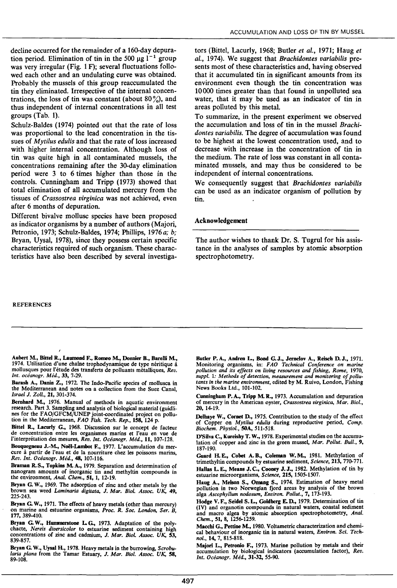decline occurred for the remainder of a 160-day depuration period. Elimination of tin in the 500  $\mu$ g 1<sup>-1</sup> group was very irregular (Fig. 1 F); several fluctuations followed each other and an undulating curve was obtained. Probably the mussels of this group reaccumulated the tin they eliminated. Irrespective of the internat concentrations, the loss of tin was constant (about  $80\frac{\cancel{6}}{0}$ ), and thus independent of internat concentrations in all test groups (Tab. 1).

Schulz-Baldes (1974) pointed out that the rate of loss was proportional to the lead concentration in the tissues of *Mytilus edulis* and that the rate of loss increased with higher internal concentration. Although loss of tin was quite high in all contaminated mussels, the concentrations remaining after the 30-day elimination period were 3 to 6 times higher than those in the controls. Cunningham and Tripp (1973) showed that total elimination of all accumulated mercury from the tissues of *Crassostrea virginica* was not achieved, even after 6 months of depuration.

Different bivalve mollusc species have been proposed as indicator organisms by a number of authors (Majori, Petronio, 1973; Schulz-Baldes, 1974; Phillips, 1976 a; *b;*  Bryan, Uysal, 1978), since they possess certain specifie characteristics required of such organism. These characteristics have also been described by several investigators (Bittel, Lacurly, 1968; Butler *et al.,* 1971; Haug *et al.,* 1974). We suggest that *Brachidontes variabilis* presents most of these characteristics and, having observed that it accumulated tin in significant amounts from its environment even though the tin concentration was 10000 times greater than that found in unpolluted sea water, that it may be used as an indicator of tin in areas polluted by this metal.

To summarize, in the present experiment we observed the accumulation and loss of tin in the musset *Brachidontes variabilis.* The degree of accumulation was found to be highest at the lowest concentration used, and to decrease with increase in the concentration of tin in the medium. The rate of loss was constant in ali contaminated mussels, and may thus be considered to be independent of internai concentrations.

We consequently suggest that *Brachidontes variabilis*  can be used as an indicator organism of pollution by tin.

# Acknowledgement

The author wishes to thank Dr. S. Tugrul for his assistance in the analyses of samples by atomic absorption spectrophotometry.

#### **REFERENCES**

Aubert M., Bittel R., Laumond F., Romeo M., Donnier B., Barelli M., 1974. Utilisation d'une chaîne trophodynamique de type néritique à mollusques pour l'étude des transferts de polluants métalliques, *Rev. !nt. océanogr. Méd.,* 33, 7-29.

Barash A., Danin Z., 1972. The Indo-Pacific species of mollusca in the Mediterranean and notes on a collection from the Suez Canal, *Israel* J. *Zoll.,* 21, 301-374.

Bernhard M., 1976. Manual of methods in aquatic environment research. Part 3. Sampling and analysis of biological material (guidliresearch. Part 3. Sample and analysis of the FAO/GFCM/UNEP joint-coordinated project on pollution in the Mediterranean, *FAO Fish. Tech. Rep.,* 158, 124 p.

Bittel R., Lacurly G., 1968. Discussion sur le concept de facteur de concentration entre les organismes marins et l'eau en vue de l'interprétation des mesures, *Rev. !nt. Océanogr. Méd.,* 11, 107-128.

Bouquegneau J.-M., Noël-Lambot F., 1977. L'accumulation du mercure à partir de l'eau et de la nourriture chez les poissons marins, *Rev. !nt. Océanogr. Méd.,* 48, 107-116.

Braman R.S., Topkins M. A., 1979. Separation and determination of nanogram amounts of inorganic tin and methyltin compounds in the environment, *Anal. Chem.,* 51, 1, 12-19.

Bryan G. W., 1969. The adsorption of zinc and other metals by the brown sea weed *Laminaria digitata,* J. *Mar. Biol. Assoc. UK,* 49, 225-243.

Bryan G. W., 1971. The effects of heavy metals (other than mercury) on marine and estuarine organisms, *Proc. R. Soc. London, Ser. B,*  177, 389-410.

Bryan G.W., Hummerstone L.G., 1973. Adaptation of the polychacte, *Nereis diversicolor* to estuarine sediment containing high concentrations of zinc and cadmium, J. *Mar. Biol. Assoc. UK,* 53, 839-857.

Bryan G. W., Uysal H., 1978. Heavy metals in the burrowing, *Scrobularia plana* from the Tamar Estuary, J. *Mar. Biol. Assoc. UK,* 58, 89-108.

Butler P. A., Andren L, Bond G.J., Jemelov A., Reisch D.J., 1971. Monitoring organisms, in: *F AO Technical Conference on marine pollution and its effects on living resources and ftshing, Rome,* 1970, *suppl. 1: Methods of detection, measurement and monitoring of pollutants in the marine environment,* edited by M. Ruivo, London, Fishing News Books Ltd., 101-102.

Cunningham P. A., Tripp M. R., 1973. Accumulation and depuration of mercury in the American oyster, *Crassostrea virginica, Mar. Biol.,*  20, 14-19.

Delhaye W., Cornet D., 1975. Contribution to the study of the effect of Copper on *Mytilus edulis* during reproductive period, *Comp. Biochem. Physiol.,* SOA, 511-518.

D'Silva C., Kureishy T. W., 1978. Experimental studies on the accumulation of copper and zinc in the green mussel, *Mar. Pollut. Bull.*, 9, 187-190.

Guard H. E., Cobet A. B., Coleman W. M., 1981. Methylation of trimethyltin compounds by estuarine sediment, *Science,* 213, 770-771. Hallas L.E., Means J.C., Cooney J.J., 1982. Methylation of tin by estuarine microorganisms, *Science,* 215, 1505-1507.

Haug A., Melson S., Omang S., 1974. Estimation of heavy metal pollution in two Norwegian fjord areas by analysis of the brown alga *Ascophyllum nodosum, Environ. Pol/ut.,* 7, 173-193.

Hodge V. F., Seidel S. L, Goldberg E. D., 1979. Determination of tin (IV) and organotin compounds in natural waters, coastal sediment and macro algea by atomic absorption spectrophotometry, *Anal. Chem.,* 51, 8, 1256-1259.

Macchi G., Pettine M., 1980. Voltametric characterization and chemical behaviour of inorganic tin in natural waters, *Environ. Sei. Technol.,* 14, 7, 815-818.

Majori L., Petronio F., 1973. Marine pollution by metals and their accumulation by biological indicators (accumulation factor), *Rev. Int. Océanogr. Méd.,* 31-32, 55-90.